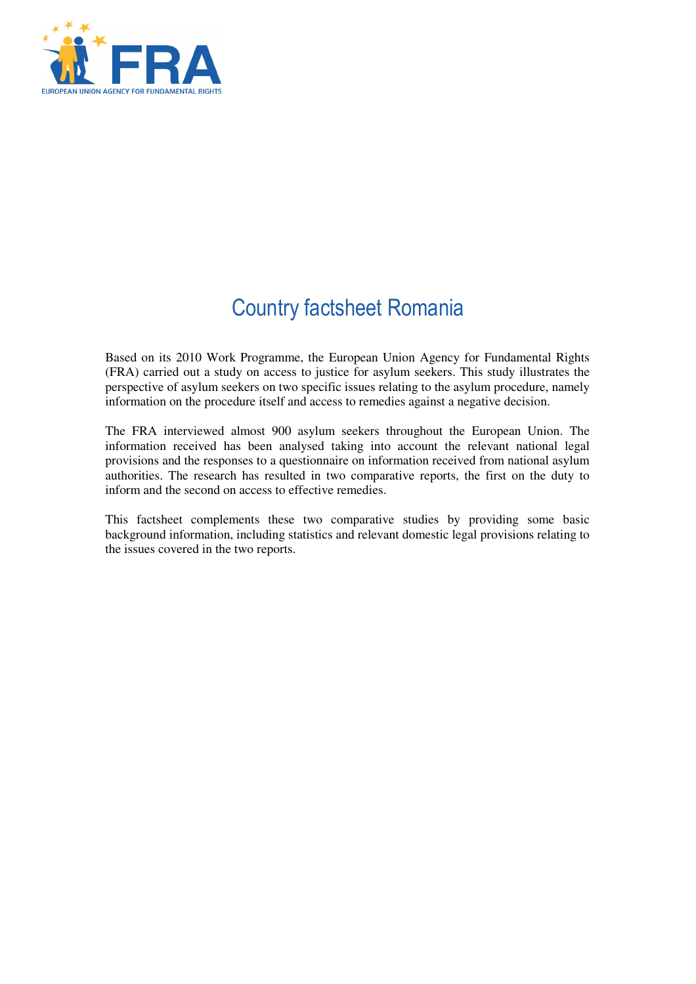

# Country factsheet Romania

Based on its 2010 Work Programme, the European Union Agency for Fundamental Rights (FRA) carried out a study on access to justice for asylum seekers. This study illustrates the perspective of asylum seekers on two specific issues relating to the asylum procedure, namely information on the procedure itself and access to remedies against a negative decision.

The FRA interviewed almost 900 asylum seekers throughout the European Union. The information received has been analysed taking into account the relevant national legal provisions and the responses to a questionnaire on information received from national asylum authorities. The research has resulted in two comparative reports, the first on the duty to inform and the second on access to effective remedies.

This factsheet complements these two comparative studies by providing some basic background information, including statistics and relevant domestic legal provisions relating to the issues covered in the two reports.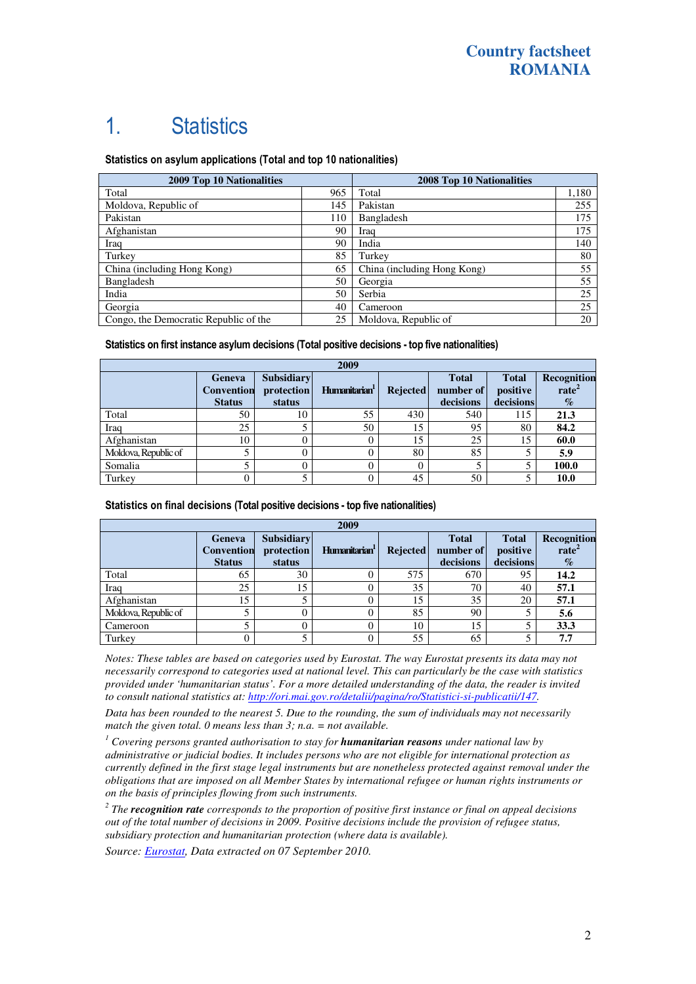## 1. Statistics

#### Statistics on asylum applications (Total and top 10 nationalities)

| 2009 Top 10 Nationalities             | <b>2008 Top 10 Nationalities</b> |                             |       |
|---------------------------------------|----------------------------------|-----------------------------|-------|
| Total                                 | 965                              | Total                       | 1,180 |
| Moldova, Republic of                  | 145                              | Pakistan                    | 255   |
| Pakistan                              | 110                              | Bangladesh                  | 175   |
| Afghanistan                           | 90                               | Iraq                        | 175   |
| Iraq                                  | 90                               | India                       | 140   |
| Turkey                                | 85                               | Turkey                      | 80    |
| China (including Hong Kong)           | 65                               | China (including Hong Kong) | 55    |
| Bangladesh                            | 50                               | Georgia                     | 55    |
| India                                 | 50                               | Serbia                      | 25    |
| Georgia                               | 40                               | Cameroon                    | 25    |
| Congo, the Democratic Republic of the | 25                               | Moldova, Republic of        | 20    |

#### Statistics on first instance asylum decisions (Total positive decisions - top five nationalities)

| 2009                 |                      |                                 |                           |                 |                           |                          |                                  |
|----------------------|----------------------|---------------------------------|---------------------------|-----------------|---------------------------|--------------------------|----------------------------------|
|                      | Geneva<br>Convention | <b>Subsidiary</b><br>protection | Humanitarian <sup>1</sup> | <b>Rejected</b> | <b>Total</b><br>number of | <b>Total</b><br>positive | Recognition<br>rate <sup>2</sup> |
|                      | <b>Status</b>        | status                          |                           |                 | decisions                 | decisions                | $\%$                             |
| Total                | 50                   | 10                              | 55                        | 430             | 540                       | 115                      | 21.3                             |
| Iraq                 | 25                   |                                 | 50                        | 15              | 95                        | 80                       | 84.2                             |
| Afghanistan          | 10                   |                                 |                           | 15              | 25                        | 15                       | 60.0                             |
| Moldova, Republic of |                      |                                 |                           | 80              | 85                        | J                        | 5.9                              |
| Somalia              |                      |                                 |                           | 0               |                           |                          | 100.0                            |
| Turkey               |                      |                                 |                           | 45              | 50                        |                          | 10.0                             |

#### Statistics on final decisions (Total positive decisions - top five nationalities)

| 2009                 |                                                     |                                           |                           |                 |                                        |                                       |                                          |
|----------------------|-----------------------------------------------------|-------------------------------------------|---------------------------|-----------------|----------------------------------------|---------------------------------------|------------------------------------------|
|                      | <b>Geneva</b><br><b>Convention</b><br><b>Status</b> | <b>Subsidiary</b><br>protection<br>status | Humanitarian <sup>1</sup> | <b>Rejected</b> | <b>Total</b><br>number of<br>decisions | <b>Total</b><br>positive<br>decisions | Recognition<br>rate <sup>2</sup><br>$\%$ |
| Total                | 65                                                  | 30                                        |                           | 575             | 670                                    | 95                                    | 14.2                                     |
| Iraq                 | 25                                                  | 15                                        |                           | 35              | 70                                     | 40                                    | 57.1                                     |
| Afghanistan          | 15                                                  |                                           |                           | 15              | 35                                     | 20                                    | 57.1                                     |
| Moldova, Republic of |                                                     |                                           |                           | 85              | 90                                     |                                       | 5.6                                      |
| Cameroon             |                                                     |                                           |                           | 10              | 15                                     |                                       | 33.3                                     |
| Turkey               | 0                                                   |                                           |                           | 55              | 65                                     |                                       | 7.7                                      |

*Notes: These tables are based on categories used by Eurostat. The way Eurostat presents its data may not necessarily correspond to categories used at national level. This can particularly be the case with statistics provided under 'humanitarian status'. For a more detailed understanding of the data, the reader is invited to consult national statistics at: http://ori.mai.gov.ro/detalii/pagina/ro/Statistici-si-publicatii/147.* 

*Data has been rounded to the nearest 5. Due to the rounding, the sum of individuals may not necessarily match the given total. 0 means less than 3; n.a. = not available.* 

*1 Covering persons granted authorisation to stay for humanitarian reasons under national law by administrative or judicial bodies. It includes persons who are not eligible for international protection as currently defined in the first stage legal instruments but are nonetheless protected against removal under the obligations that are imposed on all Member States by international refugee or human rights instruments or on the basis of principles flowing from such instruments.* 

*2 The recognition rate corresponds to the proportion of positive first instance or final on appeal decisions out of the total number of decisions in 2009. Positive decisions include the provision of refugee status, subsidiary protection and humanitarian protection (where data is available).* 

*Source: Eurostat, Data extracted on 07 September 2010.*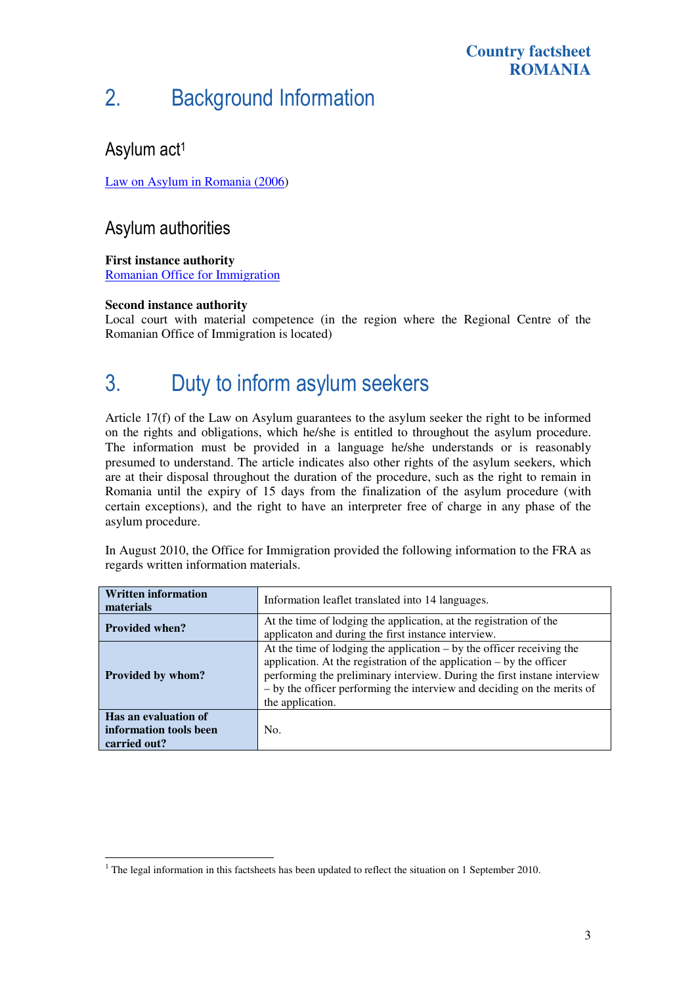### **Country factsheet ROMANIA**

# 2. Background Information

### Asylum act<sup>1</sup>

Law on Asylum in Romania (2006)

### Asylum authorities

**First instance authority**  Romanian Office for Immigration

#### **Second instance authority**

Local court with material competence (in the region where the Regional Centre of the Romanian Office of Immigration is located)

# 3. Duty to inform asylum seekers

Article 17(f) of the Law on Asylum guarantees to the asylum seeker the right to be informed on the rights and obligations, which he/she is entitled to throughout the asylum procedure. The information must be provided in a language he/she understands or is reasonably presumed to understand. The article indicates also other rights of the asylum seekers, which are at their disposal throughout the duration of the procedure, such as the right to remain in Romania until the expiry of 15 days from the finalization of the asylum procedure (with certain exceptions), and the right to have an interpreter free of charge in any phase of the asylum procedure.

In August 2010, the Office for Immigration provided the following information to the FRA as regards written information materials.

| <b>Written information</b><br>materials                        | Information leaflet translated into 14 languages.                                                                                                                                                                                                                                                                            |
|----------------------------------------------------------------|------------------------------------------------------------------------------------------------------------------------------------------------------------------------------------------------------------------------------------------------------------------------------------------------------------------------------|
| <b>Provided when?</b>                                          | At the time of lodging the application, at the registration of the<br>applicaton and during the first instance interview.                                                                                                                                                                                                    |
| <b>Provided by whom?</b>                                       | At the time of lodging the application $-$ by the officer receiving the<br>application. At the registration of the application $-$ by the officer<br>performing the preliminary interview. During the first instane interview<br>- by the officer performing the interview and deciding on the merits of<br>the application. |
| Has an evaluation of<br>information tools been<br>carried out? | No.                                                                                                                                                                                                                                                                                                                          |

 $\overline{a}$ <sup>1</sup> The legal information in this factsheets has been updated to reflect the situation on 1 September 2010.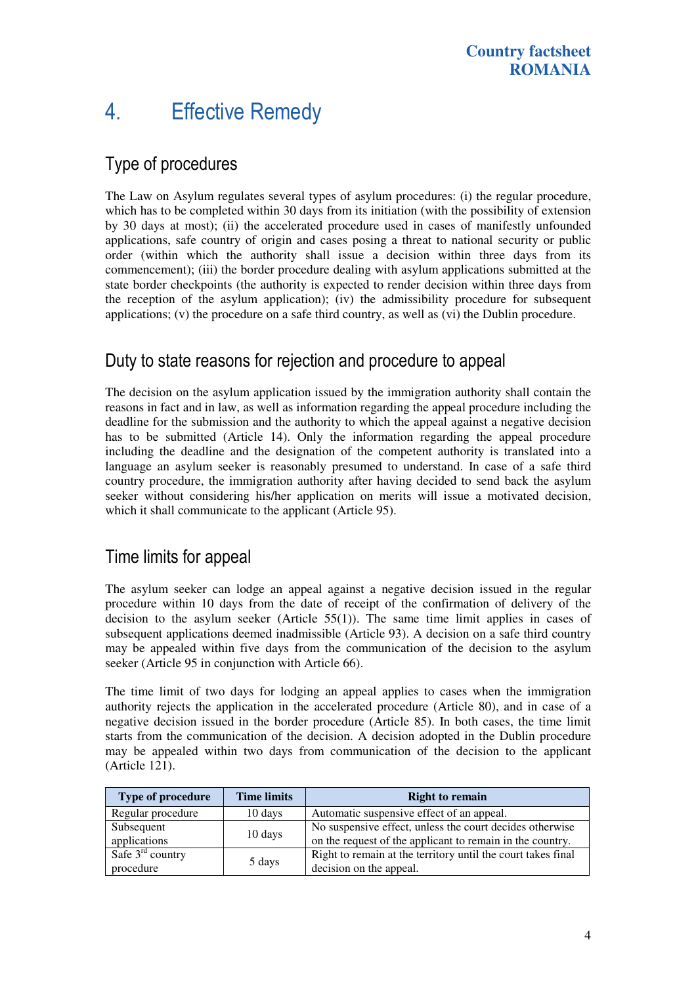# 4. Effective Remedy

## Type of procedures

The Law on Asylum regulates several types of asylum procedures: (i) the regular procedure, which has to be completed within 30 days from its initiation (with the possibility of extension by 30 days at most); (ii) the accelerated procedure used in cases of manifestly unfounded applications, safe country of origin and cases posing a threat to national security or public order (within which the authority shall issue a decision within three days from its commencement); (iii) the border procedure dealing with asylum applications submitted at the state border checkpoints (the authority is expected to render decision within three days from the reception of the asylum application); (iv) the admissibility procedure for subsequent applications; (v) the procedure on a safe third country, as well as (vi) the Dublin procedure.

### Duty to state reasons for rejection and procedure to appeal

The decision on the asylum application issued by the immigration authority shall contain the reasons in fact and in law, as well as information regarding the appeal procedure including the deadline for the submission and the authority to which the appeal against a negative decision has to be submitted (Article 14). Only the information regarding the appeal procedure including the deadline and the designation of the competent authority is translated into a language an asylum seeker is reasonably presumed to understand. In case of a safe third country procedure, the immigration authority after having decided to send back the asylum seeker without considering his/her application on merits will issue a motivated decision, which it shall communicate to the applicant (Article 95).

### Time limits for appeal

The asylum seeker can lodge an appeal against a negative decision issued in the regular procedure within 10 days from the date of receipt of the confirmation of delivery of the decision to the asylum seeker (Article 55(1)). The same time limit applies in cases of subsequent applications deemed inadmissible (Article 93). A decision on a safe third country may be appealed within five days from the communication of the decision to the asylum seeker (Article 95 in conjunction with Article 66).

The time limit of two days for lodging an appeal applies to cases when the immigration authority rejects the application in the accelerated procedure (Article 80), and in case of a negative decision issued in the border procedure (Article 85). In both cases, the time limit starts from the communication of the decision. A decision adopted in the Dublin procedure may be appealed within two days from communication of the decision to the applicant (Article 121).

| <b>Type of procedure</b> | <b>Time limits</b> | <b>Right to remain</b>                                       |
|--------------------------|--------------------|--------------------------------------------------------------|
| Regular procedure        | 10 days            | Automatic suspensive effect of an appeal.                    |
| Subsequent               |                    | No suspensive effect, unless the court decides otherwise     |
| applications             | 10 days            | on the request of the applicant to remain in the country.    |
| Safe $3rd$ country       |                    | Right to remain at the territory until the court takes final |
| procedure                | 5 days             | decision on the appeal.                                      |